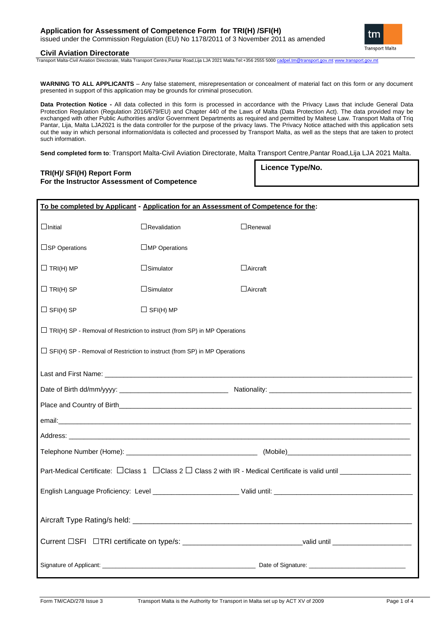# **Application for Assessment of Competence Form for TRI(H) /SFI(H)** issued under the Commission Regulation (EU) No 1178/2011 of 3 November 2011 as amended



# **Civil Aviation Directorate**

Transport Malta-Civil Aviation Directorate, Malta Transport Centre,Pantar Road,Lija LJA 2021 Malta.Tel:+356 2555 5000 [cadpel.tm@transport.gov.mt](mailto:cadpel.tm@transport.gov.mt) [www.transport.gov.mt](http://www.transport.gov.mt/)

**WARNING TO ALL APPLICANTS** – Any false statement, misrepresentation or concealment of material fact on this form or any document presented in support of this application may be grounds for criminal prosecution.

**Data Protection Notice -** All data collected in this form is processed in accordance with the Privacy Laws that include General Data Protection Regulation (Regulation 2016/679/EU) and Chapter 440 of the Laws of Malta (Data Protection Act). The data provided may be exchanged with other Public Authorities and/or Government Departments as required and permitted by Maltese Law. Transport Malta of Triq Pantar, Lija, Malta LJA2021 is the data controller for the purpose of the privacy laws. The Privacy Notice attached with this application sets out the way in which personal information/data is collected and processed by Transport Malta, as well as the steps that are taken to protect such information.

**Send completed form to**: Transport Malta-Civil Aviation Directorate, Malta Transport Centre,Pantar Road,Lija LJA 2021 Malta.

# **TRI(H)/ SFI(H) Report Form For the Instructor Assessment of Competence**

**Licence Type/No.**

| To be completed by Applicant - Application for an Assessment of Competence for the:                        |                      |                 |  |  |  |  |  |
|------------------------------------------------------------------------------------------------------------|----------------------|-----------------|--|--|--|--|--|
| $\Box$ Initial                                                                                             | $\Box$ Revalidation  | $\Box$ Renewal  |  |  |  |  |  |
| $\square$ SP Operations                                                                                    | $\Box$ MP Operations |                 |  |  |  |  |  |
| $\Box$ TRI(H) MP                                                                                           | $\Box$ Simulator     | $\Box$ Aircraft |  |  |  |  |  |
| $\Box$ TRI(H) SP                                                                                           | $\Box$ Simulator     | $\Box$ Aircraft |  |  |  |  |  |
| $\Box$ SFI(H) SP                                                                                           | $\Box$ SFI(H) MP     |                 |  |  |  |  |  |
| $\Box$ TRI(H) SP - Removal of Restriction to instruct (from SP) in MP Operations                           |                      |                 |  |  |  |  |  |
| $\Box$ SFI(H) SP - Removal of Restriction to instruct (from SP) in MP Operations                           |                      |                 |  |  |  |  |  |
|                                                                                                            |                      |                 |  |  |  |  |  |
|                                                                                                            |                      |                 |  |  |  |  |  |
|                                                                                                            |                      |                 |  |  |  |  |  |
|                                                                                                            |                      |                 |  |  |  |  |  |
|                                                                                                            |                      |                 |  |  |  |  |  |
|                                                                                                            |                      |                 |  |  |  |  |  |
|                                                                                                            |                      |                 |  |  |  |  |  |
|                                                                                                            |                      |                 |  |  |  |  |  |
|                                                                                                            |                      |                 |  |  |  |  |  |
|                                                                                                            |                      |                 |  |  |  |  |  |
| Current DSFI DTRI certificate on type/s: ________________________________valid until _____________________ |                      |                 |  |  |  |  |  |
|                                                                                                            |                      |                 |  |  |  |  |  |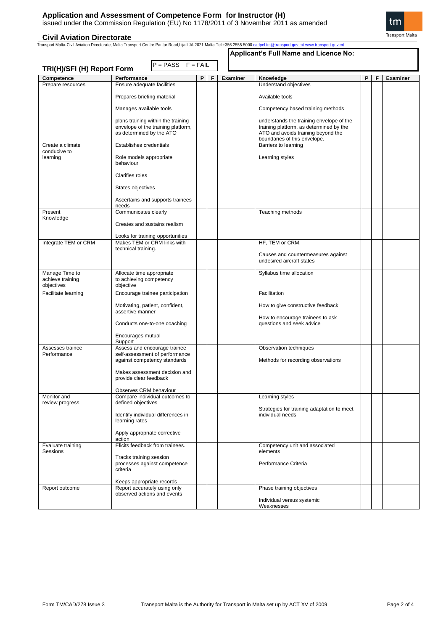**Civil Aviation Directorate** Transport Malta-Civil Aviation Directorate, Malta Transport Centre,Pantar Road,Lija LJA 2021 Malta.Tel:+356 2555 5000 [cadpel.tm@transport.gov.mt](mailto:cadpel.tm@transport.gov.mt) [www.transport.gov.mt](http://www.transport.gov.mt/)

| TRI(H)/SFI (H) Report Form       | $P = PASS$ $F = FAIL$                                                    |   |   |                 | Applicant's Full Name and Licence No:                                               |   |   |                 |
|----------------------------------|--------------------------------------------------------------------------|---|---|-----------------|-------------------------------------------------------------------------------------|---|---|-----------------|
| Competence                       | Performance                                                              | P | F | <b>Examiner</b> | Knowledge                                                                           | P | F | <b>Examiner</b> |
| Prepare resources                | Ensure adequate facilities                                               |   |   |                 | Understand objectives                                                               |   |   |                 |
|                                  | Prepares briefing material                                               |   |   |                 | Available tools                                                                     |   |   |                 |
|                                  | Manages available tools                                                  |   |   |                 | Competency based training methods                                                   |   |   |                 |
|                                  | plans training within the training<br>envelope of the training platform, |   |   |                 | understands the training envelope of the<br>training platform, as determined by the |   |   |                 |
|                                  | as determined by the ATO                                                 |   |   |                 | ATO and avoids training beyond the<br>boundaries of this envelope.                  |   |   |                 |
| Create a climate<br>conducive to | Establishes credentials                                                  |   |   |                 | Barriers to learning                                                                |   |   |                 |
| learning                         | Role models appropriate<br>behaviour                                     |   |   |                 | Learning styles                                                                     |   |   |                 |
|                                  | <b>Clarifies roles</b>                                                   |   |   |                 |                                                                                     |   |   |                 |
|                                  | States objectives                                                        |   |   |                 |                                                                                     |   |   |                 |
|                                  | Ascertains and supports trainees<br>needs                                |   |   |                 |                                                                                     |   |   |                 |
| Present                          | Communicates clearly                                                     |   |   |                 | Teaching methods                                                                    |   |   |                 |
| Knowledge                        | Creates and sustains realism                                             |   |   |                 |                                                                                     |   |   |                 |
|                                  | Looks for training opportunities                                         |   |   |                 |                                                                                     |   |   |                 |
| Integrate TEM or CRM             | Makes TEM or CRM links with<br>technical training.                       |   |   |                 | HF, TEM or CRM.                                                                     |   |   |                 |
|                                  |                                                                          |   |   |                 | Causes and countermeasures against<br>undesired aircraft states                     |   |   |                 |
| Manage Time to                   | Allocate time appropriate                                                |   |   |                 | Syllabus time allocation                                                            |   |   |                 |
| achieve training<br>objectives   | to achieving competency<br>objective                                     |   |   |                 |                                                                                     |   |   |                 |
| Facilitate learning              | Encourage trainee participation                                          |   |   |                 | Facilitation                                                                        |   |   |                 |
|                                  | Motivating, patient, confident,<br>assertive manner                      |   |   |                 | How to give constructive feedback                                                   |   |   |                 |
|                                  | Conducts one-to-one coaching                                             |   |   |                 | How to encourage trainees to ask<br>questions and seek advice                       |   |   |                 |
|                                  | Encourages mutual<br>Support                                             |   |   |                 |                                                                                     |   |   |                 |
| Assesses trainee<br>Performance  | Assess and encourage trainee<br>self-assessment of performance           |   |   |                 | Observation techniques                                                              |   |   |                 |
|                                  | against competency standards                                             |   |   |                 | Methods for recording observations                                                  |   |   |                 |
|                                  | Makes assessment decision and<br>provide clear feedback                  |   |   |                 |                                                                                     |   |   |                 |
|                                  | Observes CRM behaviour                                                   |   |   |                 |                                                                                     |   |   |                 |
| Monitor and<br>review progress   | Compare individual outcomes to<br>defined objectives                     |   |   |                 | Learning styles                                                                     |   |   |                 |
|                                  | Identify individual differences in<br>learning rates                     |   |   |                 | Strategies for training adaptation to meet<br>individual needs                      |   |   |                 |
|                                  | Apply appropriate corrective<br>action                                   |   |   |                 |                                                                                     |   |   |                 |
| Evaluate training                | Elicits feedback from trainees.                                          |   |   |                 | Competency unit and associated                                                      |   |   |                 |
| Sessions                         | Tracks training session                                                  |   |   |                 | elements                                                                            |   |   |                 |
|                                  | processes against competence<br>criteria                                 |   |   |                 | Performance Criteria                                                                |   |   |                 |
|                                  | Keeps appropriate records                                                |   |   |                 |                                                                                     |   |   |                 |
| Report outcome                   | Report accurately using only<br>observed actions and events              |   |   |                 | Phase training objectives                                                           |   |   |                 |
|                                  |                                                                          |   |   |                 | Individual versus systemic<br>Weaknesses                                            |   |   |                 |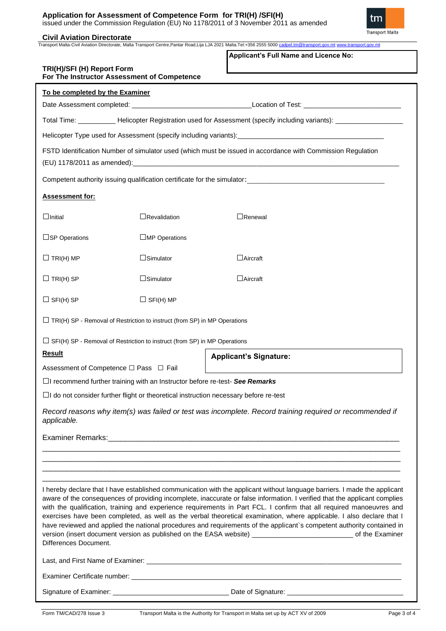# **Application for Assessment of Competence Form for TRI(H) /SFI(H)** issued under the Commission Regulation (EU) No 1178/2011 of 3 November 2011 as amended

tm Transport Malta

**\_Civil Aviation Directorate**<br>Transport Malta-Civil Aviation Directorate, Malta Transport Centre,Pantar Road,Lija LJA 2021 Malta.Tel:+356 2555 5000 <u>[cadpel.tm@transport.gov.mt](mailto:cadpel.tm@transport.gov.mt) www.transport.gov.m</u>t

|                                        |                                                                                    | Applicant's Full Name and Licence No:                                                                                                                                                                                                                                                                                                                                                                                                                                                                                                                                                                                                                                                                                                                      |
|----------------------------------------|------------------------------------------------------------------------------------|------------------------------------------------------------------------------------------------------------------------------------------------------------------------------------------------------------------------------------------------------------------------------------------------------------------------------------------------------------------------------------------------------------------------------------------------------------------------------------------------------------------------------------------------------------------------------------------------------------------------------------------------------------------------------------------------------------------------------------------------------------|
| TRI(H)/SFI (H) Report Form             | For The Instructor Assessment of Competence                                        |                                                                                                                                                                                                                                                                                                                                                                                                                                                                                                                                                                                                                                                                                                                                                            |
| To be completed by the Examiner        |                                                                                    |                                                                                                                                                                                                                                                                                                                                                                                                                                                                                                                                                                                                                                                                                                                                                            |
|                                        |                                                                                    |                                                                                                                                                                                                                                                                                                                                                                                                                                                                                                                                                                                                                                                                                                                                                            |
|                                        |                                                                                    | Total Time: _____________Helicopter Registration used for Assessment (specify including variants): ______________                                                                                                                                                                                                                                                                                                                                                                                                                                                                                                                                                                                                                                          |
|                                        |                                                                                    |                                                                                                                                                                                                                                                                                                                                                                                                                                                                                                                                                                                                                                                                                                                                                            |
|                                        |                                                                                    | FSTD Identification Number of simulator used (which must be issued in accordance with Commission Regulation                                                                                                                                                                                                                                                                                                                                                                                                                                                                                                                                                                                                                                                |
|                                        |                                                                                    |                                                                                                                                                                                                                                                                                                                                                                                                                                                                                                                                                                                                                                                                                                                                                            |
| <b>Assessment for:</b>                 |                                                                                    |                                                                                                                                                                                                                                                                                                                                                                                                                                                                                                                                                                                                                                                                                                                                                            |
| $\Box$ Initial                         | $\Box$ Revalidation                                                                | $\Box$ Renewal                                                                                                                                                                                                                                                                                                                                                                                                                                                                                                                                                                                                                                                                                                                                             |
| $\square$ SP Operations                | $\square$ MP Operations                                                            |                                                                                                                                                                                                                                                                                                                                                                                                                                                                                                                                                                                                                                                                                                                                                            |
| $\Box$ TRI(H) MP                       | $\Box$ Simulator                                                                   | $\Box$ Aircraft                                                                                                                                                                                                                                                                                                                                                                                                                                                                                                                                                                                                                                                                                                                                            |
| $\Box$ TRI(H) SP                       | $\Box$ Simulator                                                                   | $\Box$ Aircraft                                                                                                                                                                                                                                                                                                                                                                                                                                                                                                                                                                                                                                                                                                                                            |
| $\Box$ SFI(H) SP                       | $\Box$ SFI(H) MP                                                                   |                                                                                                                                                                                                                                                                                                                                                                                                                                                                                                                                                                                                                                                                                                                                                            |
|                                        | $\Box$ TRI(H) SP - Removal of Restriction to instruct (from SP) in MP Operations   |                                                                                                                                                                                                                                                                                                                                                                                                                                                                                                                                                                                                                                                                                                                                                            |
|                                        | $\Box$ SFI(H) SP - Removal of Restriction to instruct (from SP) in MP Operations   |                                                                                                                                                                                                                                                                                                                                                                                                                                                                                                                                                                                                                                                                                                                                                            |
| <b>Result</b>                          |                                                                                    | <b>Applicant's Signature:</b>                                                                                                                                                                                                                                                                                                                                                                                                                                                                                                                                                                                                                                                                                                                              |
| Assessment of Competence □ Pass □ Fail |                                                                                    |                                                                                                                                                                                                                                                                                                                                                                                                                                                                                                                                                                                                                                                                                                                                                            |
|                                        | $\Box$ I recommend further training with an Instructor before re-test- See Remarks |                                                                                                                                                                                                                                                                                                                                                                                                                                                                                                                                                                                                                                                                                                                                                            |
|                                        |                                                                                    | $\Box$ I do not consider further flight or theoretical instruction necessary before re-test                                                                                                                                                                                                                                                                                                                                                                                                                                                                                                                                                                                                                                                                |
| applicable.                            |                                                                                    | Record reasons why item(s) was failed or test was incomplete. Record training required or recommended if                                                                                                                                                                                                                                                                                                                                                                                                                                                                                                                                                                                                                                                   |
|                                        |                                                                                    |                                                                                                                                                                                                                                                                                                                                                                                                                                                                                                                                                                                                                                                                                                                                                            |
|                                        |                                                                                    |                                                                                                                                                                                                                                                                                                                                                                                                                                                                                                                                                                                                                                                                                                                                                            |
|                                        |                                                                                    |                                                                                                                                                                                                                                                                                                                                                                                                                                                                                                                                                                                                                                                                                                                                                            |
| Differences Document.                  |                                                                                    | I hereby declare that I have established communication with the applicant without language barriers. I made the applicant<br>aware of the consequences of providing incomplete, inaccurate or false information. I verified that the applicant complies<br>with the qualification, training and experience requirements in Part FCL. I confirm that all required manoeuvres and<br>exercises have been completed, as well as the verbal theoretical examination, where applicable. I also declare that I<br>have reviewed and applied the national procedures and requirements of the applicant's competent authority contained in<br>version (insert document version as published on the EASA website) _________________________________ of the Examiner |
|                                        |                                                                                    |                                                                                                                                                                                                                                                                                                                                                                                                                                                                                                                                                                                                                                                                                                                                                            |
|                                        |                                                                                    |                                                                                                                                                                                                                                                                                                                                                                                                                                                                                                                                                                                                                                                                                                                                                            |
|                                        |                                                                                    |                                                                                                                                                                                                                                                                                                                                                                                                                                                                                                                                                                                                                                                                                                                                                            |